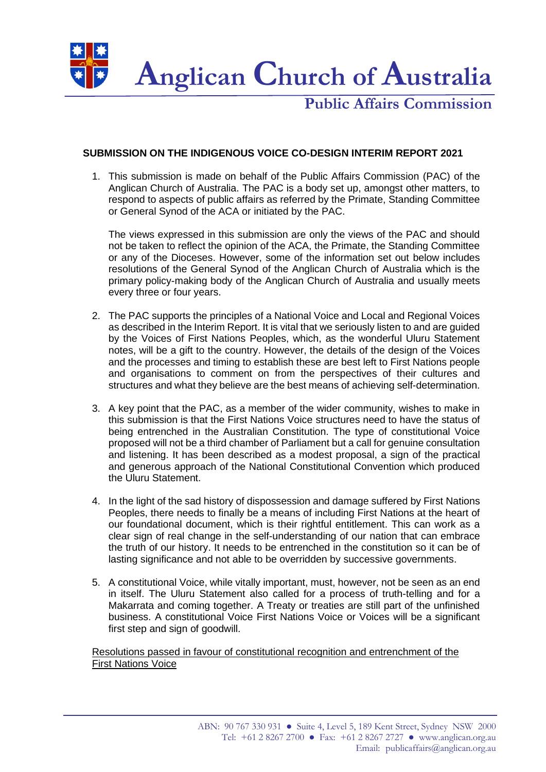

**Public Affairs Commission**

## **SUBMISSION ON THE INDIGENOUS VOICE CO-DESIGN INTERIM REPORT 2021**

1. This submission is made on behalf of the Public Affairs Commission (PAC) of the Anglican Church of Australia. The PAC is a body set up, amongst other matters, to respond to aspects of public affairs as referred by the Primate, Standing Committee or General Synod of the ACA or initiated by the PAC.

The views expressed in this submission are only the views of the PAC and should not be taken to reflect the opinion of the ACA, the Primate, the Standing Committee or any of the Dioceses. However, some of the information set out below includes resolutions of the General Synod of the Anglican Church of Australia which is the primary policy-making body of the Anglican Church of Australia and usually meets every three or four years.

- 2. The PAC supports the principles of a National Voice and Local and Regional Voices as described in the Interim Report. It is vital that we seriously listen to and are guided by the Voices of First Nations Peoples, which, as the wonderful Uluru Statement notes, will be a gift to the country. However, the details of the design of the Voices and the processes and timing to establish these are best left to First Nations people and organisations to comment on from the perspectives of their cultures and structures and what they believe are the best means of achieving self-determination.
- 3. A key point that the PAC, as a member of the wider community, wishes to make in this submission is that the First Nations Voice structures need to have the status of being entrenched in the Australian Constitution. The type of constitutional Voice proposed will not be a third chamber of Parliament but a call for genuine consultation and listening. It has been described as a modest proposal, a sign of the practical and generous approach of the National Constitutional Convention which produced the Uluru Statement.
- 4. In the light of the sad history of dispossession and damage suffered by First Nations Peoples, there needs to finally be a means of including First Nations at the heart of our foundational document, which is their rightful entitlement. This can work as a clear sign of real change in the self-understanding of our nation that can embrace the truth of our history. It needs to be entrenched in the constitution so it can be of lasting significance and not able to be overridden by successive governments.
- 5. A constitutional Voice, while vitally important, must, however, not be seen as an end in itself. The Uluru Statement also called for a process of truth-telling and for a Makarrata and coming together. A Treaty or treaties are still part of the unfinished business. A constitutional Voice First Nations Voice or Voices will be a significant first step and sign of goodwill.

Resolutions passed in favour of constitutional recognition and entrenchment of the First Nations Voice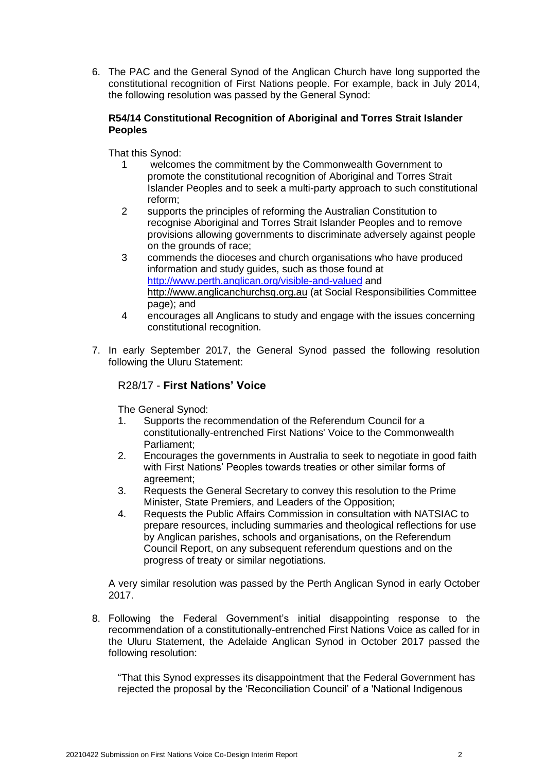6. The PAC and the General Synod of the Anglican Church have long supported the constitutional recognition of First Nations people. For example, back in July 2014, the following resolution was passed by the General Synod:

## **R54/14 Constitutional Recognition of Aboriginal and Torres Strait Islander Peoples**

That this Synod:

- 1 welcomes the commitment by the Commonwealth Government to promote the constitutional recognition of Aboriginal and Torres Strait Islander Peoples and to seek a multi-party approach to such constitutional reform;
- 2 supports the principles of reforming the Australian Constitution to recognise Aboriginal and Torres Strait Islander Peoples and to remove provisions allowing governments to discriminate adversely against people on the grounds of race;
- 3 commends the dioceses and church organisations who have produced information and study guides, such as those found at <http://www.perth.anglican.org/visible-and-valued> and http://www.anglicanchurchsq.org.au (at Social Responsibilities Committee page); and
- 4 encourages all Anglicans to study and engage with the issues concerning constitutional recognition.
- 7. In early September 2017, the General Synod passed the following resolution following the Uluru Statement:

## R28/17 - **First Nations' Voice**

The General Synod:

- 1. Supports the recommendation of the Referendum Council for a constitutionally-entrenched First Nations' Voice to the Commonwealth Parliament;
- 2. Encourages the governments in Australia to seek to negotiate in good faith with First Nations' Peoples towards treaties or other similar forms of agreement;
- 3. Requests the General Secretary to convey this resolution to the Prime Minister, State Premiers, and Leaders of the Opposition;
- 4. Requests the Public Affairs Commission in consultation with NATSIAC to prepare resources, including summaries and theological reflections for use by Anglican parishes, schools and organisations, on the Referendum Council Report, on any subsequent referendum questions and on the progress of treaty or similar negotiations.

A very similar resolution was passed by the Perth Anglican Synod in early October 2017.

8. Following the Federal Government's initial disappointing response to the recommendation of a constitutionally-entrenched First Nations Voice as called for in the Uluru Statement, the Adelaide Anglican Synod in October 2017 passed the following resolution:

"That this Synod expresses its disappointment that the Federal Government has rejected the proposal by the 'Reconciliation Council' of a 'National Indigenous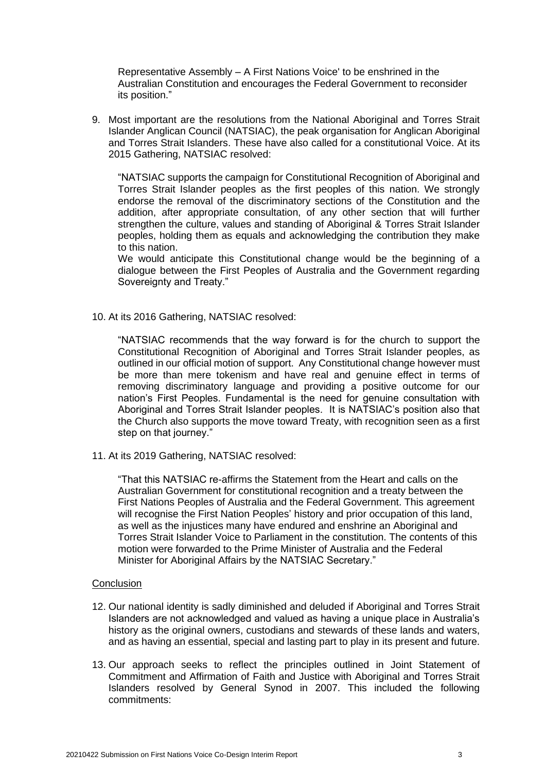Representative Assembly – A First Nations Voice' to be enshrined in the Australian Constitution and encourages the Federal Government to reconsider its position."

9. Most important are the resolutions from the National Aboriginal and Torres Strait Islander Anglican Council (NATSIAC), the peak organisation for Anglican Aboriginal and Torres Strait Islanders. These have also called for a constitutional Voice. At its 2015 Gathering, NATSIAC resolved:

"NATSIAC supports the campaign for Constitutional Recognition of Aboriginal and Torres Strait Islander peoples as the first peoples of this nation. We strongly endorse the removal of the discriminatory sections of the Constitution and the addition, after appropriate consultation, of any other section that will further strengthen the culture, values and standing of Aboriginal & Torres Strait Islander peoples, holding them as equals and acknowledging the contribution they make to this nation.

We would anticipate this Constitutional change would be the beginning of a dialogue between the First Peoples of Australia and the Government regarding Sovereignty and Treaty."

10. At its 2016 Gathering, NATSIAC resolved:

"NATSIAC recommends that the way forward is for the church to support the Constitutional Recognition of Aboriginal and Torres Strait Islander peoples, as outlined in our official motion of support. Any Constitutional change however must be more than mere tokenism and have real and genuine effect in terms of removing discriminatory language and providing a positive outcome for our nation's First Peoples. Fundamental is the need for genuine consultation with Aboriginal and Torres Strait Islander peoples. It is NATSIAC's position also that the Church also supports the move toward Treaty, with recognition seen as a first step on that journey."

11. At its 2019 Gathering, NATSIAC resolved:

"That this NATSIAC re-affirms the Statement from the Heart and calls on the Australian Government for constitutional recognition and a treaty between the First Nations Peoples of Australia and the Federal Government. This agreement will recognise the First Nation Peoples' history and prior occupation of this land, as well as the injustices many have endured and enshrine an Aboriginal and Torres Strait Islander Voice to Parliament in the constitution. The contents of this motion were forwarded to the Prime Minister of Australia and the Federal Minister for Aboriginal Affairs by the NATSIAC Secretary."

## **Conclusion**

- 12. Our national identity is sadly diminished and deluded if Aboriginal and Torres Strait Islanders are not acknowledged and valued as having a unique place in Australia's history as the original owners, custodians and stewards of these lands and waters, and as having an essential, special and lasting part to play in its present and future.
- 13. Our approach seeks to reflect the principles outlined in Joint Statement of Commitment and Affirmation of Faith and Justice with Aboriginal and Torres Strait Islanders resolved by General Synod in 2007. This included the following commitments: